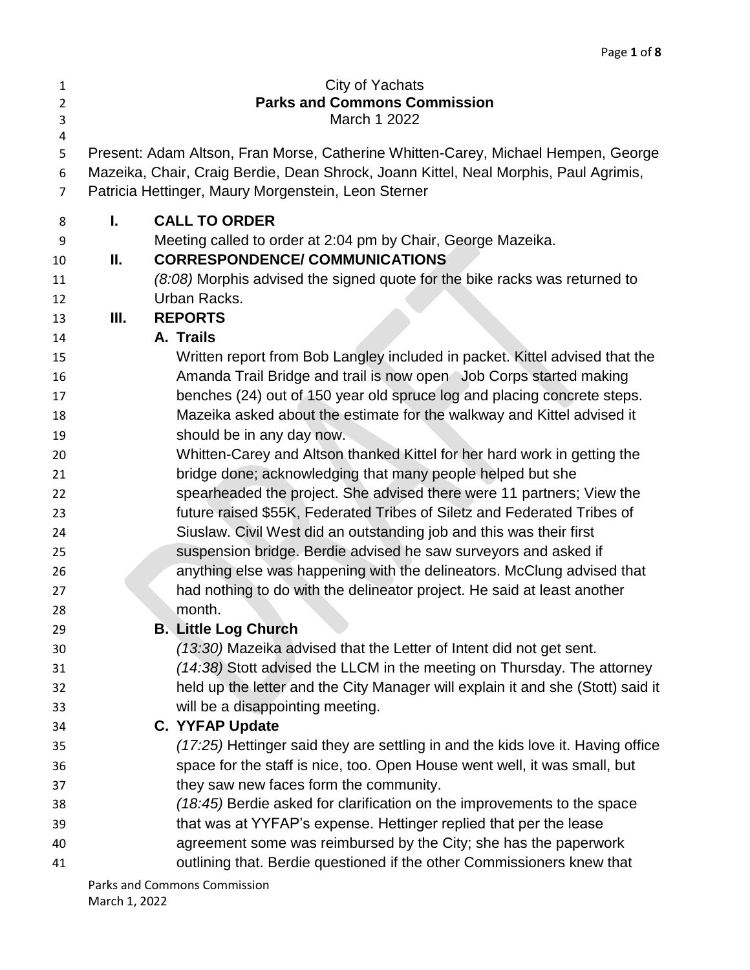| Page 1 of 8 |  |  |  |
|-------------|--|--|--|
|-------------|--|--|--|

| $\mathbf{1}$   |    | City of Yachats                                                                      |
|----------------|----|--------------------------------------------------------------------------------------|
| $\overline{2}$ |    | <b>Parks and Commons Commission</b>                                                  |
| 3              |    | March 1 2022                                                                         |
| 4<br>5         |    | Present: Adam Altson, Fran Morse, Catherine Whitten-Carey, Michael Hempen, George    |
| 6              |    | Mazeika, Chair, Craig Berdie, Dean Shrock, Joann Kittel, Neal Morphis, Paul Agrimis, |
| 7              |    | Patricia Hettinger, Maury Morgenstein, Leon Sterner                                  |
|                |    |                                                                                      |
| 8              | I. | <b>CALL TO ORDER</b>                                                                 |
| 9              |    | Meeting called to order at 2:04 pm by Chair, George Mazeika.                         |
| 10             | Ш. | <b>CORRESPONDENCE/ COMMUNICATIONS</b>                                                |
| 11             |    | (8:08) Morphis advised the signed quote for the bike racks was returned to           |
| 12             |    | Urban Racks.                                                                         |
| 13             | Ш. | <b>REPORTS</b>                                                                       |
| 14             |    | A. Trails                                                                            |
| 15             |    | Written report from Bob Langley included in packet. Kittel advised that the          |
| 16             |    | Amanda Trail Bridge and trail is now open Job Corps started making                   |
| 17             |    | benches (24) out of 150 year old spruce log and placing concrete steps.              |
| 18             |    | Mazeika asked about the estimate for the walkway and Kittel advised it               |
| 19             |    | should be in any day now.                                                            |
| 20             |    | Whitten-Carey and Altson thanked Kittel for her hard work in getting the             |
| 21             |    | bridge done; acknowledging that many people helped but she                           |
| 22             |    | spearheaded the project. She advised there were 11 partners; View the                |
| 23             |    | future raised \$55K, Federated Tribes of Siletz and Federated Tribes of              |
| 24             |    | Siuslaw. Civil West did an outstanding job and this was their first                  |
| 25             |    | suspension bridge. Berdie advised he saw surveyors and asked if                      |
| 26             |    | anything else was happening with the delineators. McClung advised that               |
| 27             |    | had nothing to do with the delineator project. He said at least another              |
| 28             |    | month.                                                                               |
| 29             |    | <b>B. Little Log Church</b>                                                          |
| 30             |    | (13:30) Mazeika advised that the Letter of Intent did not get sent.                  |
| 31             |    | (14:38) Stott advised the LLCM in the meeting on Thursday. The attorney              |
| 32             |    | held up the letter and the City Manager will explain it and she (Stott) said it      |
| 33             |    | will be a disappointing meeting.                                                     |
| 34             |    | <b>C. YYFAP Update</b>                                                               |
| 35             |    | (17:25) Hettinger said they are settling in and the kids love it. Having office      |
| 36             |    | space for the staff is nice, too. Open House went well, it was small, but            |
| 37             |    | they saw new faces form the community.                                               |
| 38             |    | (18:45) Berdie asked for clarification on the improvements to the space              |
| 39             |    | that was at YYFAP's expense. Hettinger replied that per the lease                    |
| 40             |    | agreement some was reimbursed by the City; she has the paperwork                     |
| 41             |    | outlining that. Berdie questioned if the other Commissioners knew that               |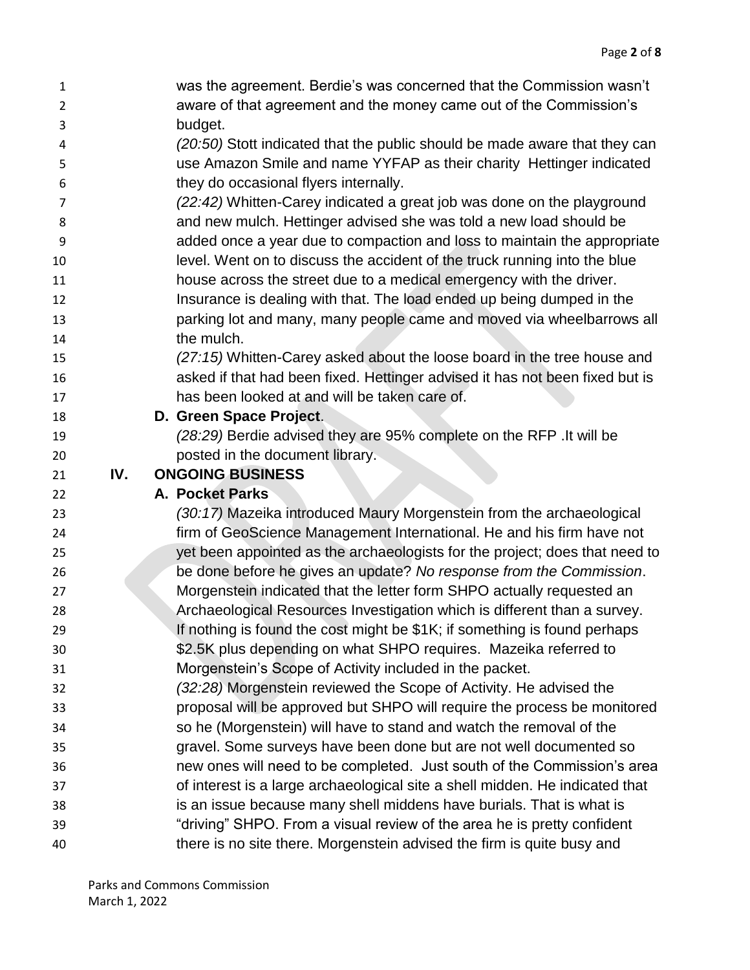| 1              |     | was the agreement. Berdie's was concerned that the Commission wasn't                                                                              |
|----------------|-----|---------------------------------------------------------------------------------------------------------------------------------------------------|
| $\overline{2}$ |     | aware of that agreement and the money came out of the Commission's                                                                                |
| 3              |     | budget.                                                                                                                                           |
| 4              |     | (20:50) Stott indicated that the public should be made aware that they can                                                                        |
| 5              |     | use Amazon Smile and name YYFAP as their charity Hettinger indicated                                                                              |
| 6              |     | they do occasional flyers internally.                                                                                                             |
| 7              |     | (22:42) Whitten-Carey indicated a great job was done on the playground                                                                            |
| 8              |     | and new mulch. Hettinger advised she was told a new load should be                                                                                |
| 9              |     | added once a year due to compaction and loss to maintain the appropriate                                                                          |
| 10             |     | level. Went on to discuss the accident of the truck running into the blue                                                                         |
| 11             |     | house across the street due to a medical emergency with the driver.                                                                               |
| 12             |     | Insurance is dealing with that. The load ended up being dumped in the                                                                             |
| 13             |     | parking lot and many, many people came and moved via wheelbarrows all                                                                             |
| 14             |     | the mulch.                                                                                                                                        |
| 15             |     | (27:15) Whitten-Carey asked about the loose board in the tree house and                                                                           |
| 16             |     | asked if that had been fixed. Hettinger advised it has not been fixed but is                                                                      |
| 17             |     | has been looked at and will be taken care of.                                                                                                     |
| 18             |     | D. Green Space Project.                                                                                                                           |
| 19             |     | (28:29) Berdie advised they are 95% complete on the RFP .It will be                                                                               |
| 20             |     | posted in the document library.                                                                                                                   |
|                |     |                                                                                                                                                   |
| 21             | IV. | <b>ONGOING BUSINESS</b>                                                                                                                           |
| 22             |     | <b>A. Pocket Parks</b>                                                                                                                            |
| 23             |     | (30:17) Mazeika introduced Maury Morgenstein from the archaeological                                                                              |
| 24             |     | firm of GeoScience Management International. He and his firm have not                                                                             |
| 25             |     | yet been appointed as the archaeologists for the project; does that need to                                                                       |
| 26             |     | be done before he gives an update? No response from the Commission.                                                                               |
| 27             |     | Morgenstein indicated that the letter form SHPO actually requested an                                                                             |
| 28             |     | Archaeological Resources Investigation which is different than a survey.                                                                          |
| 29             |     | If nothing is found the cost might be \$1K; if something is found perhaps                                                                         |
| 30             |     | \$2.5K plus depending on what SHPO requires. Mazeika referred to                                                                                  |
| 31             |     | Morgenstein's Scope of Activity included in the packet.                                                                                           |
| 32             |     | (32:28) Morgenstein reviewed the Scope of Activity. He advised the                                                                                |
| 33             |     | proposal will be approved but SHPO will require the process be monitored                                                                          |
| 34             |     | so he (Morgenstein) will have to stand and watch the removal of the                                                                               |
| 35             |     | gravel. Some surveys have been done but are not well documented so                                                                                |
| 36             |     | new ones will need to be completed. Just south of the Commission's area                                                                           |
| 37             |     | of interest is a large archaeological site a shell midden. He indicated that                                                                      |
| 38             |     | is an issue because many shell middens have burials. That is what is                                                                              |
| 39             |     | "driving" SHPO. From a visual review of the area he is pretty confident<br>there is no site there. Morgenstein advised the firm is quite busy and |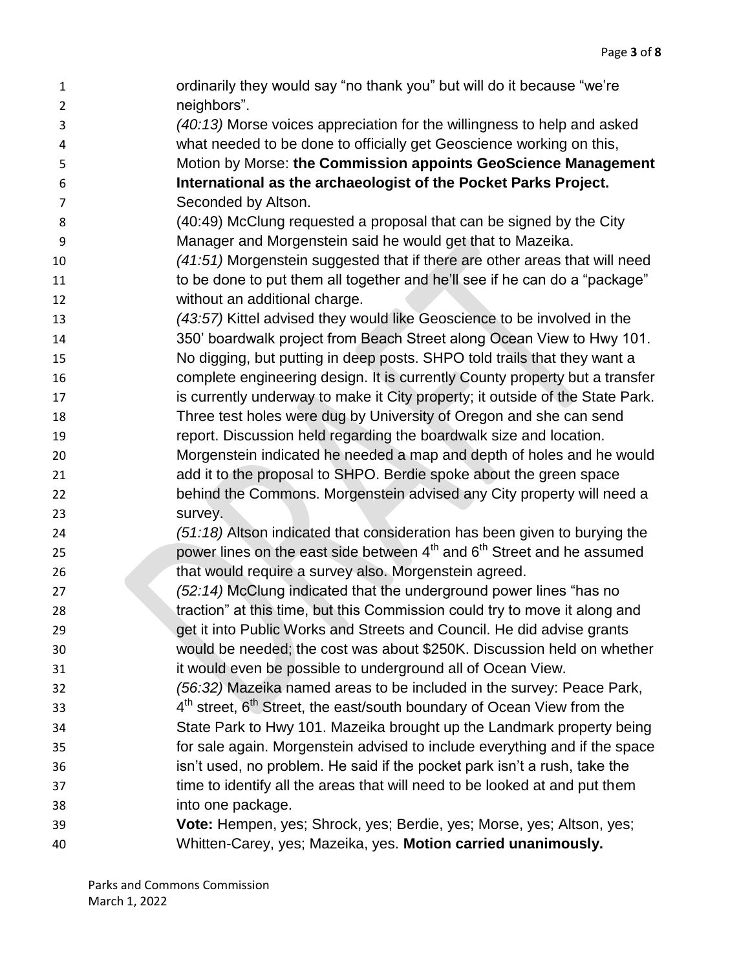ordinarily they would say "no thank you" but will do it because "we're neighbors". *(40:13)* Morse voices appreciation for the willingness to help and asked what needed to be done to officially get Geoscience working on this, Motion by Morse: **the Commission appoints GeoScience Management International as the archaeologist of the Pocket Parks Project.** Seconded by Altson. (40:49) McClung requested a proposal that can be signed by the City Manager and Morgenstein said he would get that to Mazeika. *(41:51)* Morgenstein suggested that if there are other areas that will need to be done to put them all together and he'll see if he can do a "package" without an additional charge. *(43:57)* Kittel advised they would like Geoscience to be involved in the 350' boardwalk project from Beach Street along Ocean View to Hwy 101. No digging, but putting in deep posts. SHPO told trails that they want a complete engineering design. It is currently County property but a transfer 17 is currently underway to make it City property; it outside of the State Park. Three test holes were dug by University of Oregon and she can send report. Discussion held regarding the boardwalk size and location. Morgenstein indicated he needed a map and depth of holes and he would add it to the proposal to SHPO. Berdie spoke about the green space behind the Commons. Morgenstein advised any City property will need a survey. *(51:18)* Altson indicated that consideration has been given to burying the power lines on the east side between 4<sup>th</sup> and 6<sup>th</sup> Street and he assumed **that would require a survey also. Morgenstein agreed.**  *(52:14)* McClung indicated that the underground power lines "has no 28 traction" at this time, but this Commission could try to move it along and **29** get it into Public Works and Streets and Council. He did advise grants would be needed; the cost was about \$250K. Discussion held on whether it would even be possible to underground all of Ocean View. *(56:32)* Mazeika named areas to be included in the survey: Peace Park, 33 4<sup>th</sup> street, 6<sup>th</sup> Street, the east/south boundary of Ocean View from the State Park to Hwy 101. Mazeika brought up the Landmark property being for sale again. Morgenstein advised to include everything and if the space isn't used, no problem. He said if the pocket park isn't a rush, take the time to identify all the areas that will need to be looked at and put them into one package. **Vote:** Hempen, yes; Shrock, yes; Berdie, yes; Morse, yes; Altson, yes; Whitten-Carey, yes; Mazeika, yes. **Motion carried unanimously.**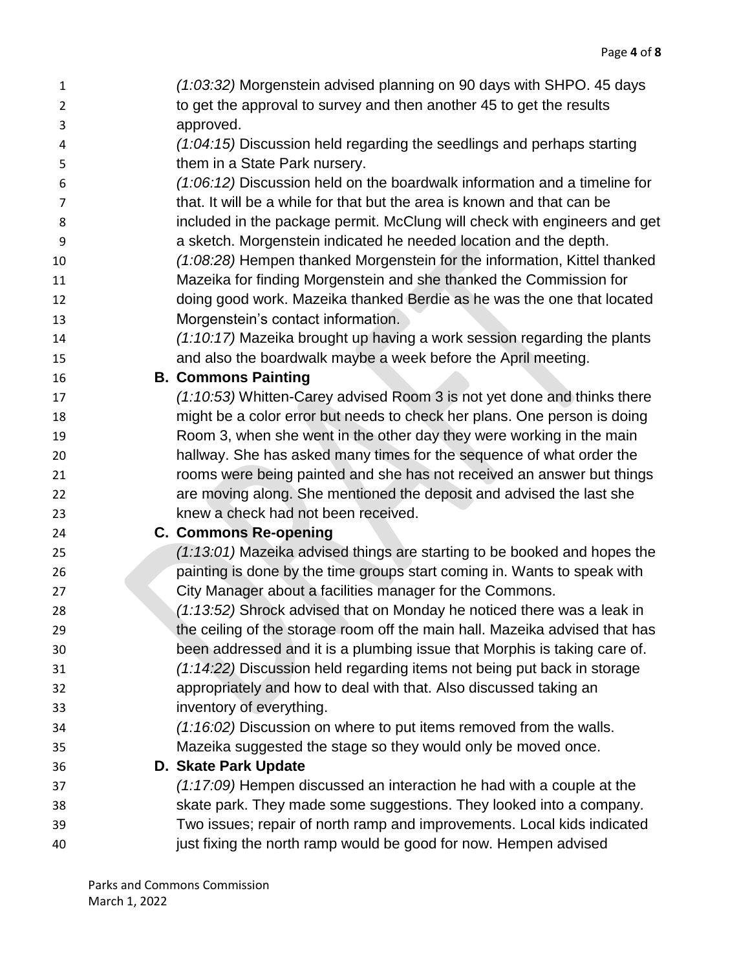| $\mathbf{1}$   | (1:03:32) Morgenstein advised planning on 90 days with SHPO. 45 days        |
|----------------|-----------------------------------------------------------------------------|
| $\overline{2}$ | to get the approval to survey and then another 45 to get the results        |
| 3              | approved.                                                                   |
| 4              | (1:04:15) Discussion held regarding the seedlings and perhaps starting      |
| 5              | them in a State Park nursery.                                               |
| 6              | (1:06:12) Discussion held on the boardwalk information and a timeline for   |
| 7              | that. It will be a while for that but the area is known and that can be     |
| 8              | included in the package permit. McClung will check with engineers and get   |
| 9              | a sketch. Morgenstein indicated he needed location and the depth.           |
| 10             | (1:08:28) Hempen thanked Morgenstein for the information, Kittel thanked    |
| 11             | Mazeika for finding Morgenstein and she thanked the Commission for          |
| 12             | doing good work. Mazeika thanked Berdie as he was the one that located      |
| 13             | Morgenstein's contact information.                                          |
| 14             | (1:10:17) Mazeika brought up having a work session regarding the plants     |
| 15             | and also the boardwalk maybe a week before the April meeting.               |
| 16             | <b>B. Commons Painting</b>                                                  |
| 17             | (1:10:53) Whitten-Carey advised Room 3 is not yet done and thinks there     |
| 18             | might be a color error but needs to check her plans. One person is doing    |
| 19             | Room 3, when she went in the other day they were working in the main        |
| 20             | hallway. She has asked many times for the sequence of what order the        |
| 21             | rooms were being painted and she has not received an answer but things      |
| 22             | are moving along. She mentioned the deposit and advised the last she        |
| 23             | knew a check had not been received.                                         |
| 24             | <b>C. Commons Re-opening</b>                                                |
| 25             | (1:13:01) Mazeika advised things are starting to be booked and hopes the    |
| 26             | painting is done by the time groups start coming in. Wants to speak with    |
| 27             | City Manager about a facilities manager for the Commons.                    |
| 28             | (1:13:52) Shrock advised that on Monday he noticed there was a leak in      |
| 29             | the ceiling of the storage room off the main hall. Mazeika advised that has |
| 30             | been addressed and it is a plumbing issue that Morphis is taking care of.   |
| 31             | (1:14:22) Discussion held regarding items not being put back in storage     |
| 32             | appropriately and how to deal with that. Also discussed taking an           |
| 33             | inventory of everything.                                                    |
| 34             | $(1:16:02)$ Discussion on where to put items removed from the walls.        |
| 35             | Mazeika suggested the stage so they would only be moved once.               |
| 36             | D. Skate Park Update                                                        |
| 37             | $(1:17:09)$ Hempen discussed an interaction he had with a couple at the     |
| 38             | skate park. They made some suggestions. They looked into a company.         |
| 39             | Two issues; repair of north ramp and improvements. Local kids indicated     |
| 40             | just fixing the north ramp would be good for now. Hempen advised            |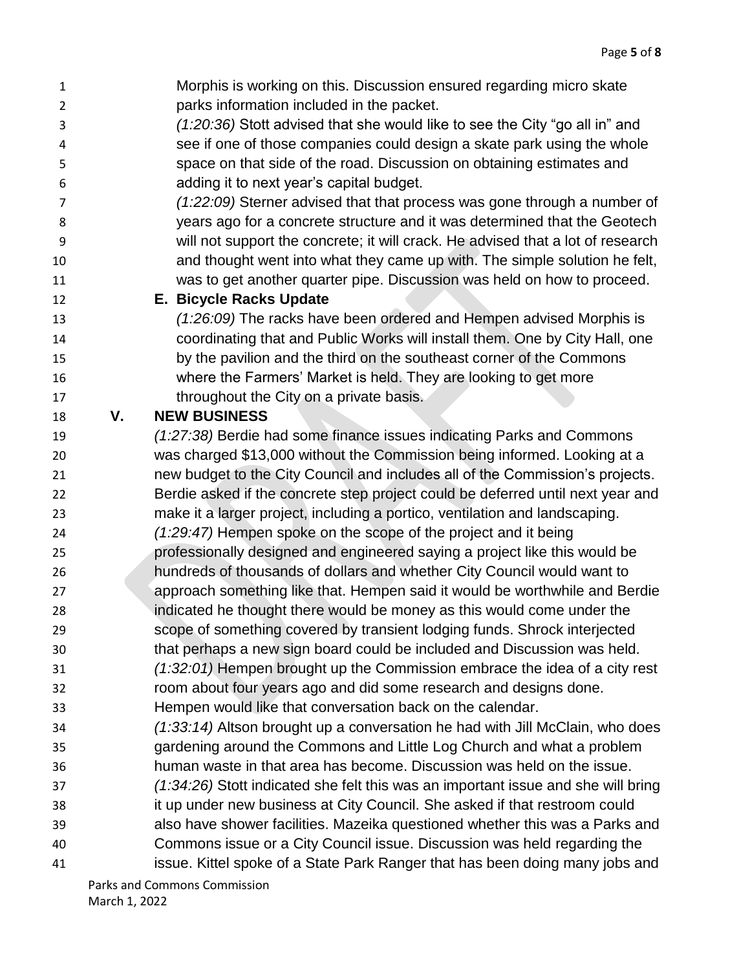- Morphis is working on this. Discussion ensured regarding micro skate parks information included in the packet. *(1:20:36)* Stott advised that she would like to see the City "go all in" and
- see if one of those companies could design a skate park using the whole space on that side of the road. Discussion on obtaining estimates and adding it to next year's capital budget.
- *(1:22:09)* Sterner advised that that process was gone through a number of years ago for a concrete structure and it was determined that the Geotech will not support the concrete; it will crack. He advised that a lot of research and thought went into what they came up with. The simple solution he felt, was to get another quarter pipe. Discussion was held on how to proceed.
- **E. Bicycle Racks Update**
	-
- *(1:26:09)* The racks have been ordered and Hempen advised Morphis is coordinating that and Public Works will install them. One by City Hall, one by the pavilion and the third on the southeast corner of the Commons where the Farmers' Market is held. They are looking to get more 17 throughout the City on a private basis.

## **V. NEW BUSINESS**

- *(1:27:38)* Berdie had some finance issues indicating Parks and Commons was charged \$13,000 without the Commission being informed. Looking at a new budget to the City Council and includes all of the Commission's projects. Berdie asked if the concrete step project could be deferred until next year and make it a larger project, including a portico, ventilation and landscaping. *(1:29:47)* Hempen spoke on the scope of the project and it being professionally designed and engineered saying a project like this would be hundreds of thousands of dollars and whether City Council would want to approach something like that. Hempen said it would be worthwhile and Berdie indicated he thought there would be money as this would come under the scope of something covered by transient lodging funds. Shrock interjected that perhaps a new sign board could be included and Discussion was held. *(1:32:01)* Hempen brought up the Commission embrace the idea of a city rest room about four years ago and did some research and designs done. Hempen would like that conversation back on the calendar.
- *(1:33:14)* Altson brought up a conversation he had with Jill McClain, who does gardening around the Commons and Little Log Church and what a problem
- human waste in that area has become. Discussion was held on the issue.
- *(1:34:26)* Stott indicated she felt this was an important issue and she will bring
- it up under new business at City Council. She asked if that restroom could
- also have shower facilities. Mazeika questioned whether this was a Parks and
- Commons issue or a City Council issue. Discussion was held regarding the
- issue. Kittel spoke of a State Park Ranger that has been doing many jobs and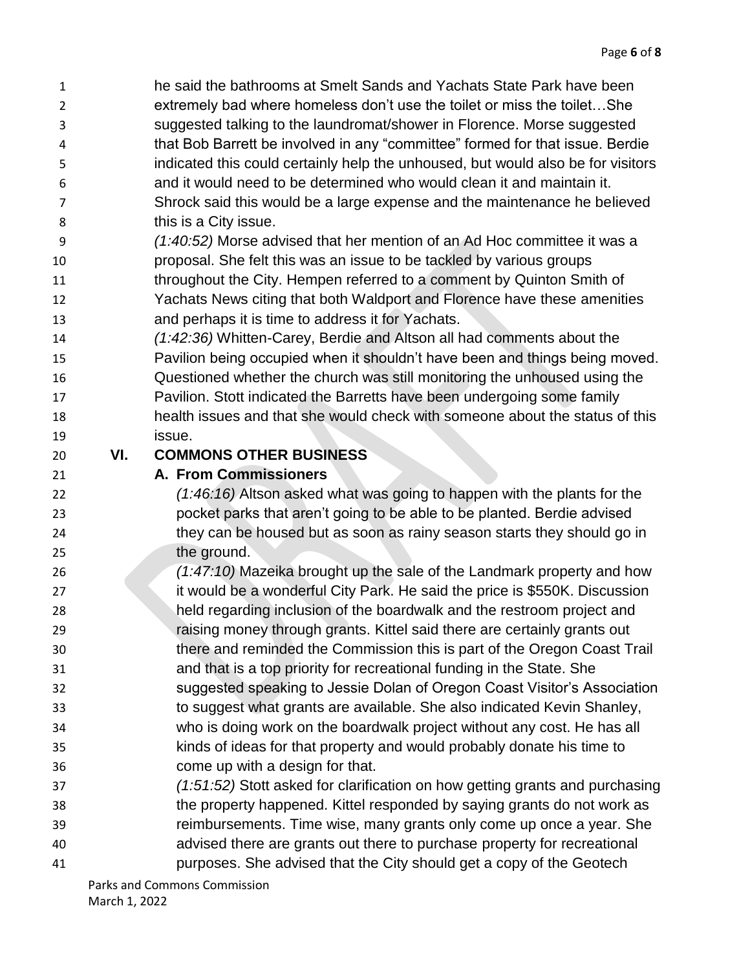- 
- that Bob Barrett be involved in any "committee" formed for that issue. Berdie indicated this could certainly help the unhoused, but would also be for visitors
- and it would need to be determined who would clean it and maintain it. Shrock said this would be a large expense and the maintenance he believed this is a City issue.
- *(1:40:52)* Morse advised that her mention of an Ad Hoc committee it was a proposal. She felt this was an issue to be tackled by various groups throughout the City. Hempen referred to a comment by Quinton Smith of Yachats News citing that both Waldport and Florence have these amenities
- and perhaps it is time to address it for Yachats.
- *(1:42:36)* Whitten-Carey, Berdie and Altson all had comments about the Pavilion being occupied when it shouldn't have been and things being moved.
- Questioned whether the church was still monitoring the unhoused using the Pavilion. Stott indicated the Barretts have been undergoing some family health issues and that she would check with someone about the status of this issue.
- 

## **VI. COMMONS OTHER BUSINESS**

## **A. From Commissioners**

- *(1:46:16)* Altson asked what was going to happen with the plants for the pocket parks that aren't going to be able to be planted. Berdie advised they can be housed but as soon as rainy season starts they should go in 25 the ground.
- *(1:47:10)* Mazeika brought up the sale of the Landmark property and how **it would be a wonderful City Park. He said the price is \$550K. Discussion**  held regarding inclusion of the boardwalk and the restroom project and raising money through grants. Kittel said there are certainly grants out there and reminded the Commission this is part of the Oregon Coast Trail and that is a top priority for recreational funding in the State. She suggested speaking to Jessie Dolan of Oregon Coast Visitor's Association to suggest what grants are available. She also indicated Kevin Shanley, who is doing work on the boardwalk project without any cost. He has all kinds of ideas for that property and would probably donate his time to come up with a design for that.
- *(1:51:52)* Stott asked for clarification on how getting grants and purchasing the property happened. Kittel responded by saying grants do not work as
- reimbursements. Time wise, many grants only come up once a year. She
- advised there are grants out there to purchase property for recreational
- purposes. She advised that the City should get a copy of the Geotech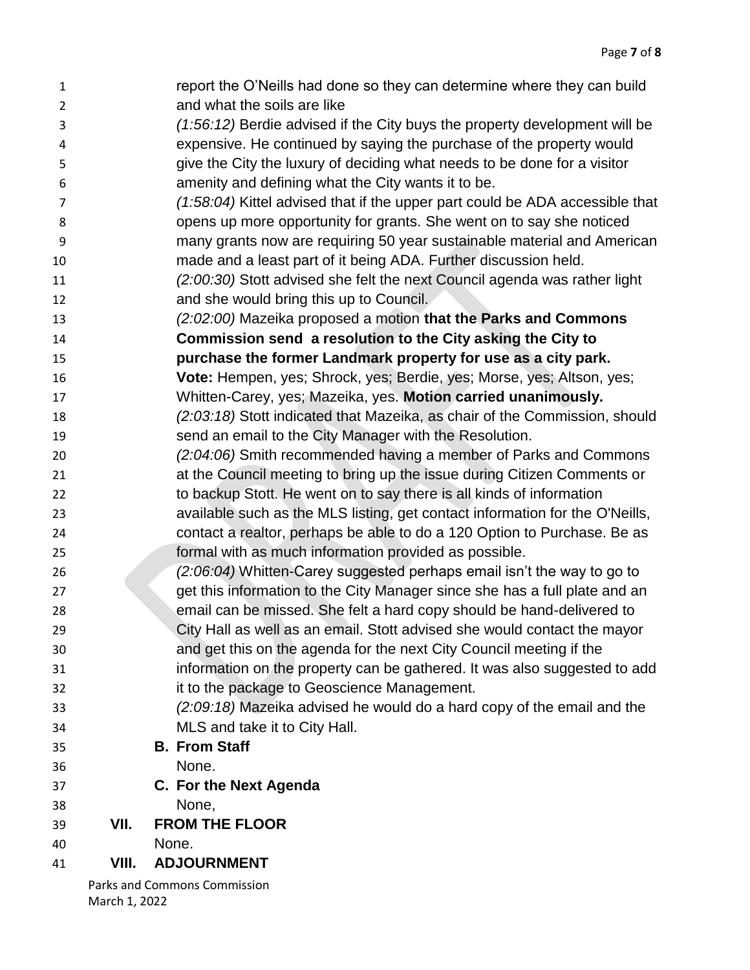| $\mathbf{1}$   |       | report the O'Neills had done so they can determine where they can build      |
|----------------|-------|------------------------------------------------------------------------------|
| $\overline{2}$ |       | and what the soils are like                                                  |
| 3              |       | (1:56:12) Berdie advised if the City buys the property development will be   |
| 4              |       | expensive. He continued by saying the purchase of the property would         |
| 5              |       | give the City the luxury of deciding what needs to be done for a visitor     |
| 6              |       | amenity and defining what the City wants it to be.                           |
| $\overline{7}$ |       | (1:58:04) Kittel advised that if the upper part could be ADA accessible that |
| 8              |       | opens up more opportunity for grants. She went on to say she noticed         |
| 9              |       | many grants now are requiring 50 year sustainable material and American      |
| 10             |       | made and a least part of it being ADA. Further discussion held.              |
| 11             |       | (2:00:30) Stott advised she felt the next Council agenda was rather light    |
| 12             |       | and she would bring this up to Council.                                      |
| 13             |       | (2:02:00) Mazeika proposed a motion that the Parks and Commons               |
| 14             |       | Commission send a resolution to the City asking the City to                  |
| 15             |       | purchase the former Landmark property for use as a city park.                |
| 16             |       | Vote: Hempen, yes; Shrock, yes; Berdie, yes; Morse, yes; Altson, yes;        |
| 17             |       | Whitten-Carey, yes; Mazeika, yes. Motion carried unanimously.                |
| 18             |       | (2:03:18) Stott indicated that Mazeika, as chair of the Commission, should   |
| 19             |       | send an email to the City Manager with the Resolution.                       |
| 20             |       | (2:04:06) Smith recommended having a member of Parks and Commons             |
| 21             |       | at the Council meeting to bring up the issue during Citizen Comments or      |
| 22             |       | to backup Stott. He went on to say there is all kinds of information         |
| 23             |       | available such as the MLS listing, get contact information for the O'Neills, |
| 24             |       | contact a realtor, perhaps be able to do a 120 Option to Purchase. Be as     |
| 25             |       | formal with as much information provided as possible.                        |
| 26             |       | (2:06:04) Whitten-Carey suggested perhaps email isn't the way to go to       |
| 27             |       | get this information to the City Manager since she has a full plate and an   |
| 28             |       | email can be missed. She felt a hard copy should be hand-delivered to        |
| 29             |       | City Hall as well as an email. Stott advised she would contact the mayor     |
| 30             |       | and get this on the agenda for the next City Council meeting if the          |
| 31             |       | information on the property can be gathered. It was also suggested to add    |
| 32             |       | it to the package to Geoscience Management.                                  |
| 33             |       | (2:09:18) Mazeika advised he would do a hard copy of the email and the       |
| 34             |       | MLS and take it to City Hall.                                                |
| 35             |       | <b>B. From Staff</b>                                                         |
| 36             |       | None.                                                                        |
| 37             |       | C. For the Next Agenda                                                       |
| 38             |       | None,                                                                        |
| 39             | VII.  | <b>FROM THE FLOOR</b>                                                        |
| 40             |       | None.                                                                        |
| 41             | VIII. | <b>ADJOURNMENT</b>                                                           |
|                |       | Parks and Commons Commission                                                 |

March 1, 2022